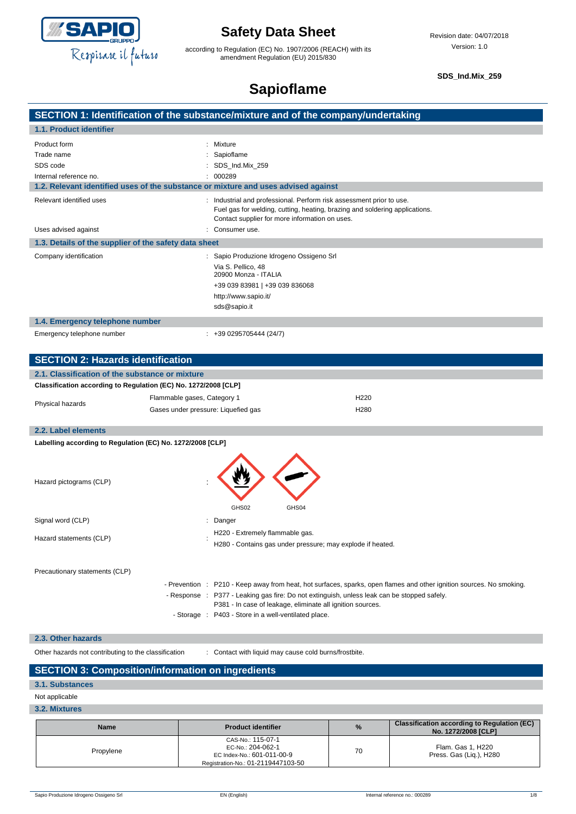

according to Regulation (EC) No. 1907/2006 (REACH) with its amendment Regulation (EU) 2015/830

**SDS\_Ind.Mix\_259**

### **Sapioflame**

|                                                                                    | SECTION 1: Identification of the substance/mixture and of the company/undertaking                                                                                                                     |
|------------------------------------------------------------------------------------|-------------------------------------------------------------------------------------------------------------------------------------------------------------------------------------------------------|
| 1.1. Product identifier                                                            |                                                                                                                                                                                                       |
| Product form<br>Trade name<br>SDS code<br>Internal reference no.                   | : Mixture<br>: Sapioflame<br>: SDS_Ind.Mix_259<br>: 000289                                                                                                                                            |
| 1.2. Relevant identified uses of the substance or mixture and uses advised against |                                                                                                                                                                                                       |
| Relevant identified uses                                                           | : Industrial and professional. Perform risk assessment prior to use.<br>Fuel gas for welding, cutting, heating, brazing and soldering applications.<br>Contact supplier for more information on uses. |
| Uses advised against                                                               | Consumer use.                                                                                                                                                                                         |
| 1.3. Details of the supplier of the safety data sheet                              |                                                                                                                                                                                                       |
| Company identification                                                             | Sapio Produzione Idrogeno Ossigeno Srl<br>Via S. Pellico, 48<br>20900 Monza - ITALIA<br>+39 039 83981   +39 039 836068<br>http://www.sapio.it/<br>sds@sapio.it                                        |
| 1.4. Emergency telephone number                                                    |                                                                                                                                                                                                       |

Emergency telephone number : +39 0295705444 (24/7)

|  | $: +390$ |
|--|----------|
|  |          |

| <b>SECTION 2: Hazards identification</b>                        |                                     |                  |
|-----------------------------------------------------------------|-------------------------------------|------------------|
| 2.1. Classification of the substance or mixture                 |                                     |                  |
| Classification according to Regulation (EC) No. 1272/2008 [CLP] |                                     |                  |
| Physical hazards                                                | Flammable gases, Category 1         | H <sub>220</sub> |
|                                                                 | Gases under pressure: Liquefied gas | H <sub>280</sub> |
|                                                                 |                                     |                  |

### **2.2. Label elements**

| Labelling according to Regulation (EC) No. 1272/2008 [CLP] |                                                                                               |  |  |  |  |  |
|------------------------------------------------------------|-----------------------------------------------------------------------------------------------|--|--|--|--|--|
| Hazard pictograms (CLP)                                    | GHS02<br>GHS04                                                                                |  |  |  |  |  |
| Signal word (CLP)<br>÷                                     | Danger                                                                                        |  |  |  |  |  |
| Hazard statements (CLP)                                    | H220 - Extremely flammable gas.<br>H280 - Contains gas under pressure; may explode if heated. |  |  |  |  |  |

Precautionary statements (CLP)

|  | - Prevention : P210 - Keep away from heat, hot surfaces, sparks, open flames and other ignition sources. No smoking. |
|--|----------------------------------------------------------------------------------------------------------------------|
|  | - Response : P377 - Leaking gas fire: Do not extinguish, unless leak can be stopped safely.                          |
|  | P381 - In case of leakage, eliminate all ignition sources.                                                           |
|  | - Storage : P403 - Store in a well-ventilated place.                                                                 |

#### **2.3. Other hazards**

Other hazards not contributing to the classification : Contact with liquid may cause cold burns/frostbite.

### **SECTION 3: Composition/information on ingredients**

#### **3.1. Substances**

Not applicable

#### **3.2. Mixtures**

| <b>Name</b> | <b>Product identifier</b>                                                                                  | $\%$ | <b>Classification according to Regulation (EC)</b><br>No. 1272/2008 [CLP] |
|-------------|------------------------------------------------------------------------------------------------------------|------|---------------------------------------------------------------------------|
| Propylene   | CAS-No.: 115-07-1<br>EC-No.: 204-062-1<br>EC Index-No.: 601-011-00-9<br>Registration-No.: 01-2119447103-50 | 70   | Flam. Gas 1, H220<br>Press. Gas (Lig.), H280                              |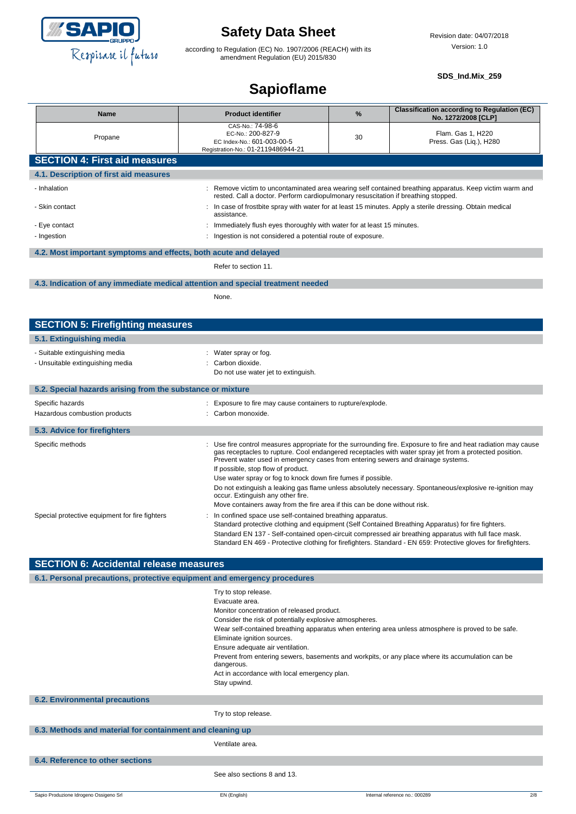

according to Regulation (EC) No. 1907/2006 (REACH) with its amendment Regulation (EU) 2015/830

#### **SDS\_Ind.Mix\_259**

## **Sapioflame**

| <b>Name</b>                                                      | <b>Product identifier</b>                                                                                                                                                                     | $\frac{9}{6}$                                                | <b>Classification according to Regulation (EC)</b><br>No. 1272/2008 [CLP] |  |
|------------------------------------------------------------------|-----------------------------------------------------------------------------------------------------------------------------------------------------------------------------------------------|--------------------------------------------------------------|---------------------------------------------------------------------------|--|
| Propane                                                          | CAS-No.: 74-98-6<br>EC-No.: 200-827-9<br>EC Index-No.: 601-003-00-5<br>Registration-No.: 01-2119486944-21                                                                                     |                                                              | Flam. Gas 1, H220<br>Press. Gas (Liq.), H280                              |  |
| <b>SECTION 4: First aid measures</b>                             |                                                                                                                                                                                               |                                                              |                                                                           |  |
| 4.1. Description of first aid measures                           |                                                                                                                                                                                               |                                                              |                                                                           |  |
| - Inhalation                                                     | : Remove victim to uncontaminated area wearing self contained breathing apparatus. Keep victim warm and<br>rested. Call a doctor. Perform cardiopulmonary resuscitation if breathing stopped. |                                                              |                                                                           |  |
| - Skin contact                                                   | : In case of frostbite spray with water for at least 15 minutes. Apply a sterile dressing. Obtain medical<br>assistance.                                                                      |                                                              |                                                                           |  |
| - Eye contact                                                    | : Immediately flush eyes thoroughly with water for at least 15 minutes.                                                                                                                       |                                                              |                                                                           |  |
| - Ingestion                                                      |                                                                                                                                                                                               | : Ingestion is not considered a potential route of exposure. |                                                                           |  |
| 4.2. Most important symptoms and effects, both acute and delayed |                                                                                                                                                                                               |                                                              |                                                                           |  |
|                                                                  | Refer to section 11.                                                                                                                                                                          |                                                              |                                                                           |  |

#### **4.3. Indication of any immediate medical attention and special treatment needed**

None.

| <b>SECTION 5: Firefighting measures</b>                            |                                                                                                                                                                                                                                                                                                                                                                                                                                                                                                                                                                                                                                                    |
|--------------------------------------------------------------------|----------------------------------------------------------------------------------------------------------------------------------------------------------------------------------------------------------------------------------------------------------------------------------------------------------------------------------------------------------------------------------------------------------------------------------------------------------------------------------------------------------------------------------------------------------------------------------------------------------------------------------------------------|
| 5.1. Extinguishing media                                           |                                                                                                                                                                                                                                                                                                                                                                                                                                                                                                                                                                                                                                                    |
| - Suitable extinguishing media<br>- Unsuitable extinguishing media | : Water spray or fog.<br>: Carbon dioxide.<br>Do not use water jet to extinguish.                                                                                                                                                                                                                                                                                                                                                                                                                                                                                                                                                                  |
| 5.2. Special hazards arising from the substance or mixture         |                                                                                                                                                                                                                                                                                                                                                                                                                                                                                                                                                                                                                                                    |
| Specific hazards<br>Hazardous combustion products                  | : Exposure to fire may cause containers to rupture/explode.<br>: Carbon monoxide.                                                                                                                                                                                                                                                                                                                                                                                                                                                                                                                                                                  |
| 5.3. Advice for firefighters                                       |                                                                                                                                                                                                                                                                                                                                                                                                                                                                                                                                                                                                                                                    |
| Specific methods                                                   | : Use fire control measures appropriate for the surrounding fire. Exposure to fire and heat radiation may cause<br>gas receptacles to rupture. Cool endangered receptacles with water spray jet from a protected position.<br>Prevent water used in emergency cases from entering sewers and drainage systems.<br>If possible, stop flow of product.<br>Use water spray or fog to knock down fire fumes if possible.<br>Do not extinguish a leaking gas flame unless absolutely necessary. Spontaneous/explosive re-ignition may<br>occur. Extinguish any other fire.<br>Move containers away from the fire area if this can be done without risk. |
| Special protective equipment for fire fighters                     | : In confined space use self-contained breathing apparatus.<br>Standard protective clothing and equipment (Self Contained Breathing Apparatus) for fire fighters.<br>Standard EN 137 - Self-contained open-circuit compressed air breathing apparatus with full face mask.<br>Standard EN 469 - Protective clothing for firefighters. Standard - EN 659: Protective gloves for firefighters.                                                                                                                                                                                                                                                       |

| <b>SECTION 6: Accidental release measures</b>                            |                                                                                                                                                                                                                                                                                                                                                                                                                                                                                                            |  |  |  |
|--------------------------------------------------------------------------|------------------------------------------------------------------------------------------------------------------------------------------------------------------------------------------------------------------------------------------------------------------------------------------------------------------------------------------------------------------------------------------------------------------------------------------------------------------------------------------------------------|--|--|--|
| 6.1. Personal precautions, protective equipment and emergency procedures |                                                                                                                                                                                                                                                                                                                                                                                                                                                                                                            |  |  |  |
|                                                                          | Try to stop release.<br>Evacuate area.<br>Monitor concentration of released product.<br>Consider the risk of potentially explosive atmospheres.<br>Wear self-contained breathing apparatus when entering area unless atmosphere is proved to be safe.<br>Eliminate ignition sources.<br>Ensure adequate air ventilation.<br>Prevent from entering sewers, basements and workpits, or any place where its accumulation can be<br>dangerous.<br>Act in accordance with local emergency plan.<br>Stay upwind. |  |  |  |
| <b>6.2. Environmental precautions</b>                                    |                                                                                                                                                                                                                                                                                                                                                                                                                                                                                                            |  |  |  |
|                                                                          | Try to stop release.                                                                                                                                                                                                                                                                                                                                                                                                                                                                                       |  |  |  |
| 6.3. Methods and material for containment and cleaning up                |                                                                                                                                                                                                                                                                                                                                                                                                                                                                                                            |  |  |  |
|                                                                          | Ventilate area.                                                                                                                                                                                                                                                                                                                                                                                                                                                                                            |  |  |  |
| 6.4. Reference to other sections                                         |                                                                                                                                                                                                                                                                                                                                                                                                                                                                                                            |  |  |  |
|                                                                          | See also sections 8 and 13.                                                                                                                                                                                                                                                                                                                                                                                                                                                                                |  |  |  |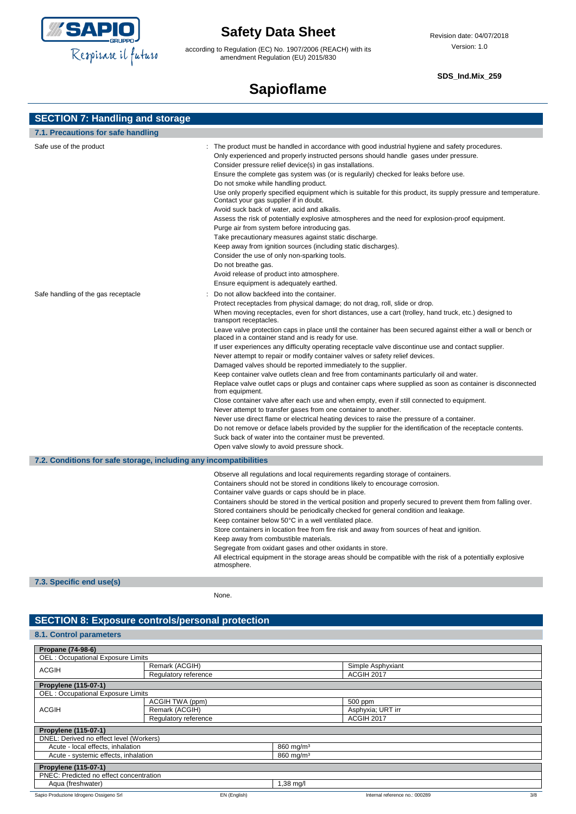

according to Regulation (EC) No. 1907/2006 (REACH) with its amendment Regulation (EU) 2015/830

#### **SDS\_Ind.Mix\_259**

# **Sapioflame**

| <b>SECTION 7: Handling and storage</b> |  |  |
|----------------------------------------|--|--|
|                                        |  |  |

| 7.1. Precautions for safe handling                                |                                                                                                                                                                                                                                                                                                                                                                                                                                                                                                                                                                                                                                                                                                                                                                                                                                                                                                                                                                                                                                                                                                                                                                                                                                                                                 |
|-------------------------------------------------------------------|---------------------------------------------------------------------------------------------------------------------------------------------------------------------------------------------------------------------------------------------------------------------------------------------------------------------------------------------------------------------------------------------------------------------------------------------------------------------------------------------------------------------------------------------------------------------------------------------------------------------------------------------------------------------------------------------------------------------------------------------------------------------------------------------------------------------------------------------------------------------------------------------------------------------------------------------------------------------------------------------------------------------------------------------------------------------------------------------------------------------------------------------------------------------------------------------------------------------------------------------------------------------------------|
| Safe use of the product<br>Safe handling of the gas receptacle    | The product must be handled in accordance with good industrial hygiene and safety procedures.<br>Only experienced and properly instructed persons should handle gases under pressure.<br>Consider pressure relief device(s) in gas installations.<br>Ensure the complete gas system was (or is regularily) checked for leaks before use.<br>Do not smoke while handling product.<br>Use only properly specified equipment which is suitable for this product, its supply pressure and temperature.<br>Contact your gas supplier if in doubt.<br>Avoid suck back of water, acid and alkalis.<br>Assess the risk of potentially explosive atmospheres and the need for explosion-proof equipment.<br>Purge air from system before introducing gas.<br>Take precautionary measures against static discharge.<br>Keep away from ignition sources (including static discharges).<br>Consider the use of only non-sparking tools.<br>Do not breathe gas.<br>Avoid release of product into atmosphere.<br>Ensure equipment is adequately earthed.<br>Do not allow backfeed into the container.<br>Protect receptacles from physical damage; do not drag, roll, slide or drop.                                                                                                          |
|                                                                   | When moving receptacles, even for short distances, use a cart (trolley, hand truck, etc.) designed to<br>transport receptacles.<br>Leave valve protection caps in place until the container has been secured against either a wall or bench or<br>placed in a container stand and is ready for use.<br>If user experiences any difficulty operating receptacle valve discontinue use and contact supplier.<br>Never attempt to repair or modify container valves or safety relief devices.<br>Damaged valves should be reported immediately to the supplier.<br>Keep container valve outlets clean and free from contaminants particularly oil and water.<br>Replace valve outlet caps or plugs and container caps where supplied as soon as container is disconnected<br>from equipment.<br>Close container valve after each use and when empty, even if still connected to equipment.<br>Never attempt to transfer gases from one container to another.<br>Never use direct flame or electrical heating devices to raise the pressure of a container.<br>Do not remove or deface labels provided by the supplier for the identification of the receptacle contents.<br>Suck back of water into the container must be prevented.<br>Open valve slowly to avoid pressure shock. |
| 7.2. Conditions for safe storage, including any incompatibilities |                                                                                                                                                                                                                                                                                                                                                                                                                                                                                                                                                                                                                                                                                                                                                                                                                                                                                                                                                                                                                                                                                                                                                                                                                                                                                 |
|                                                                   | Observe all regulations and local requirements regarding storage of containers.<br>Containers should not be stored in conditions likely to encourage corrosion.<br>Container valve guards or caps should be in place.<br>Containers should be stored in the vertical position and properly secured to prevent them from falling over.<br>Stored containers should be periodically checked for general condition and leakage.<br>Keep container below 50°C in a well ventilated place.<br>Store containers in location free from fire risk and away from sources of heat and ignition.<br>Keep away from combustible materials.<br>Segregate from oxidant gases and other oxidants in store.<br>All electrical equipment in the storage areas should be compatible with the risk of a potentially explosive<br>atmosphere.                                                                                                                                                                                                                                                                                                                                                                                                                                                       |
| $72$ Creation and useful                                          |                                                                                                                                                                                                                                                                                                                                                                                                                                                                                                                                                                                                                                                                                                                                                                                                                                                                                                                                                                                                                                                                                                                                                                                                                                                                                 |

**7.3. Specific end use(s)**

None.

### **SECTION 8: Exposure controls/personal protection**

#### **8.1. Control parameters**

| Propane (74-98-6)                                             |                      |                      |                       |                                |     |  |
|---------------------------------------------------------------|----------------------|----------------------|-----------------------|--------------------------------|-----|--|
| <b>OEL: Occupational Exposure Limits</b>                      |                      |                      |                       |                                |     |  |
|                                                               |                      |                      |                       |                                |     |  |
| <b>ACGIH</b>                                                  | Remark (ACGIH)       |                      |                       | Simple Asphyxiant              |     |  |
|                                                               | Regulatory reference |                      |                       | ACGIH 2017                     |     |  |
| Propylene (115-07-1)                                          |                      |                      |                       |                                |     |  |
| <b>OEL: Occupational Exposure Limits</b>                      |                      |                      |                       |                                |     |  |
|                                                               |                      | ACGIH TWA (ppm)      |                       | 500 ppm                        |     |  |
| <b>ACGIH</b>                                                  |                      | Remark (ACGIH)       |                       | Asphyxia; URT irr              |     |  |
|                                                               |                      | Regulatory reference |                       | ACGIH 2017                     |     |  |
| <b>Propylene (115-07-1)</b>                                   |                      |                      |                       |                                |     |  |
| DNEL: Derived no effect level (Workers)                       |                      |                      |                       |                                |     |  |
| Acute - local effects, inhalation                             |                      |                      | 860 mg/m <sup>3</sup> |                                |     |  |
| Acute - systemic effects, inhalation<br>860 mg/m <sup>3</sup> |                      |                      |                       |                                |     |  |
| <b>Propylene (115-07-1)</b>                                   |                      |                      |                       |                                |     |  |
| PNEC: Predicted no effect concentration                       |                      |                      |                       |                                |     |  |
|                                                               |                      |                      |                       |                                |     |  |
| Aqua (freshwater)                                             |                      |                      | 38 mg/l               |                                |     |  |
| Sapio Produzione Idrogeno Ossigeno Srl                        |                      | EN (English)         |                       | Internal reference no.: 000289 | 3/8 |  |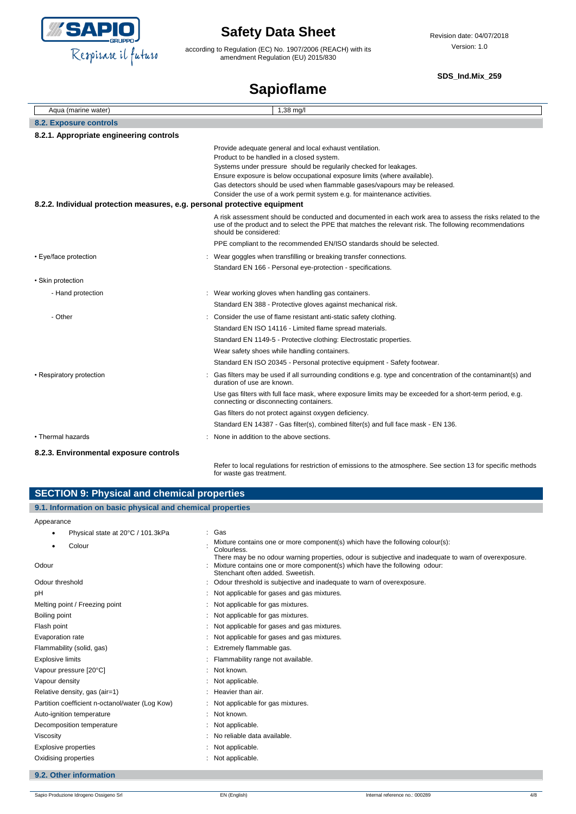

according to Regulation (EC) No. 1907/2006 (REACH) with its amendment Regulation (EU) 2015/830

#### **SDS\_Ind.Mix\_259**

## **Sapioflame**

| Aqua (marine water)                                                       | 1,38 mg/l                                                                                                                                                                                                                                                                                                                                                                                                        |
|---------------------------------------------------------------------------|------------------------------------------------------------------------------------------------------------------------------------------------------------------------------------------------------------------------------------------------------------------------------------------------------------------------------------------------------------------------------------------------------------------|
| <b>8.2. Exposure controls</b>                                             |                                                                                                                                                                                                                                                                                                                                                                                                                  |
| 8.2.1. Appropriate engineering controls                                   |                                                                                                                                                                                                                                                                                                                                                                                                                  |
| 8.2.2. Individual protection measures, e.g. personal protective equipment | Provide adequate general and local exhaust ventilation.<br>Product to be handled in a closed system.<br>Systems under pressure should be regularily checked for leakages.<br>Ensure exposure is below occupational exposure limits (where available).<br>Gas detectors should be used when flammable gases/vapours may be released.<br>Consider the use of a work permit system e.g. for maintenance activities. |
|                                                                           | A risk assessment should be conducted and documented in each work area to assess the risks related to the<br>use of the product and to select the PPE that matches the relevant risk. The following recommendations<br>should be considered:                                                                                                                                                                     |
|                                                                           | PPE compliant to the recommended EN/ISO standards should be selected.                                                                                                                                                                                                                                                                                                                                            |
| • Eye/face protection                                                     | Wear goggles when transfilling or breaking transfer connections.                                                                                                                                                                                                                                                                                                                                                 |
|                                                                           | Standard EN 166 - Personal eye-protection - specifications.                                                                                                                                                                                                                                                                                                                                                      |
| • Skin protection                                                         |                                                                                                                                                                                                                                                                                                                                                                                                                  |
| - Hand protection                                                         | : Wear working gloves when handling gas containers.                                                                                                                                                                                                                                                                                                                                                              |
|                                                                           | Standard EN 388 - Protective gloves against mechanical risk.                                                                                                                                                                                                                                                                                                                                                     |
| - Other                                                                   | : Consider the use of flame resistant anti-static safety clothing.                                                                                                                                                                                                                                                                                                                                               |
|                                                                           | Standard EN ISO 14116 - Limited flame spread materials.                                                                                                                                                                                                                                                                                                                                                          |
|                                                                           | Standard EN 1149-5 - Protective clothing: Electrostatic properties.                                                                                                                                                                                                                                                                                                                                              |
|                                                                           | Wear safety shoes while handling containers.                                                                                                                                                                                                                                                                                                                                                                     |
|                                                                           | Standard EN ISO 20345 - Personal protective equipment - Safety footwear.                                                                                                                                                                                                                                                                                                                                         |
| • Respiratory protection                                                  | Gas filters may be used if all surrounding conditions e.g. type and concentration of the contaminant(s) and<br>duration of use are known.                                                                                                                                                                                                                                                                        |
|                                                                           | Use gas filters with full face mask, where exposure limits may be exceeded for a short-term period, e.g.<br>connecting or disconnecting containers.                                                                                                                                                                                                                                                              |
|                                                                           | Gas filters do not protect against oxygen deficiency.                                                                                                                                                                                                                                                                                                                                                            |
|                                                                           | Standard EN 14387 - Gas filter(s), combined filter(s) and full face mask - EN 136.                                                                                                                                                                                                                                                                                                                               |
| • Thermal hazards                                                         | None in addition to the above sections.                                                                                                                                                                                                                                                                                                                                                                          |
| 8.2.3. Environmental exposure controls                                    |                                                                                                                                                                                                                                                                                                                                                                                                                  |

Refer to local regulations for restriction of emissions to the atmosphere. See section 13 for specific methods for waste gas treatment.

| <b>SECTION 9: Physical and chemical properties</b>         |                                                                                                                                                                                                                        |  |  |  |
|------------------------------------------------------------|------------------------------------------------------------------------------------------------------------------------------------------------------------------------------------------------------------------------|--|--|--|
| 9.1. Information on basic physical and chemical properties |                                                                                                                                                                                                                        |  |  |  |
| Appearance                                                 |                                                                                                                                                                                                                        |  |  |  |
| Physical state at 20°C / 101.3kPa<br>$\bullet$             | : Gas                                                                                                                                                                                                                  |  |  |  |
| Colour                                                     | Mixture contains one or more component(s) which have the following colour(s):<br>Colourless.                                                                                                                           |  |  |  |
| Odour                                                      | There may be no odour warning properties, odour is subjective and inadequate to warn of overexposure.<br>Mixture contains one or more component(s) which have the following odour:<br>Stenchant often added. Sweetish. |  |  |  |
| Odour threshold                                            | Odour threshold is subjective and inadequate to warn of overexposure.                                                                                                                                                  |  |  |  |
| рH                                                         | Not applicable for gases and gas mixtures.                                                                                                                                                                             |  |  |  |
| Melting point / Freezing point                             | Not applicable for gas mixtures.                                                                                                                                                                                       |  |  |  |
| Boiling point                                              | : Not applicable for gas mixtures.                                                                                                                                                                                     |  |  |  |
| Flash point                                                | Not applicable for gases and gas mixtures.                                                                                                                                                                             |  |  |  |
| Evaporation rate                                           | : Not applicable for gases and gas mixtures.                                                                                                                                                                           |  |  |  |
| Flammability (solid, gas)                                  | Extremely flammable gas.                                                                                                                                                                                               |  |  |  |
| <b>Explosive limits</b>                                    | Flammability range not available.                                                                                                                                                                                      |  |  |  |
| Vapour pressure [20°C]                                     | Not known.                                                                                                                                                                                                             |  |  |  |
| Vapour density                                             | Not applicable.                                                                                                                                                                                                        |  |  |  |
| Relative density, gas (air=1)                              | Heavier than air.                                                                                                                                                                                                      |  |  |  |
| Partition coefficient n-octanol/water (Log Kow)            | Not applicable for gas mixtures.                                                                                                                                                                                       |  |  |  |
| Auto-ignition temperature                                  | : Not known.                                                                                                                                                                                                           |  |  |  |
| Decomposition temperature                                  | Not applicable.                                                                                                                                                                                                        |  |  |  |
| Viscosity                                                  | No reliable data available.                                                                                                                                                                                            |  |  |  |
| Explosive properties                                       | Not applicable.                                                                                                                                                                                                        |  |  |  |
| Oxidising properties                                       | : Not applicable.                                                                                                                                                                                                      |  |  |  |
| 9.2. Other information                                     |                                                                                                                                                                                                                        |  |  |  |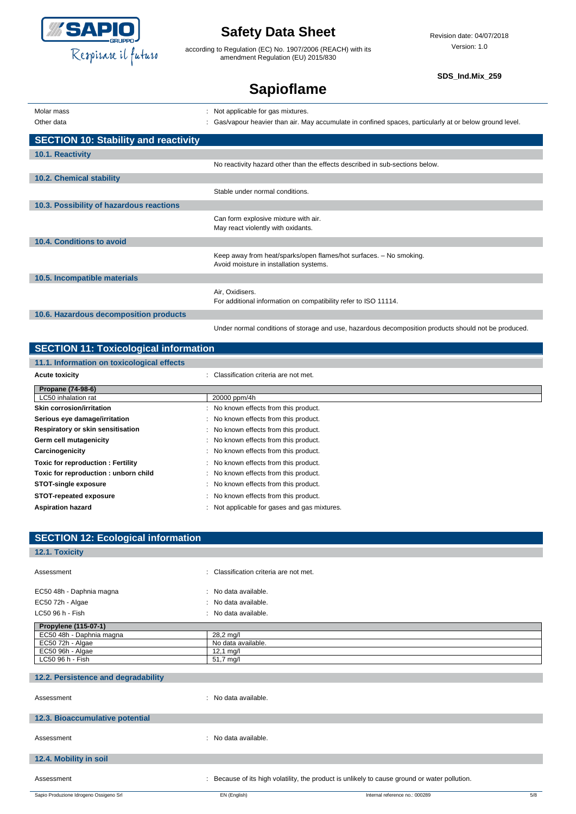

according to Regulation (EC) No. 1907/2006 (REACH) with its amendment Regulation (EU) 2015/830

**SDS\_Ind.Mix\_259**

# **Sapioflame**

| Molar mass | Not applicable for gas mixtures.                                                                       |
|------------|--------------------------------------------------------------------------------------------------------|
| Other data | Gas/vapour heavier than air. May accumulate in confined spaces, particularly at or below ground level. |

| <b>SECTION 10: Stability and reactivity</b> |                                                                                                               |
|---------------------------------------------|---------------------------------------------------------------------------------------------------------------|
| 10.1. Reactivity                            |                                                                                                               |
|                                             | No reactivity hazard other than the effects described in sub-sections below.                                  |
| 10.2. Chemical stability                    |                                                                                                               |
|                                             | Stable under normal conditions.                                                                               |
| 10.3. Possibility of hazardous reactions    |                                                                                                               |
|                                             | Can form explosive mixture with air.<br>May react violently with oxidants.                                    |
| 10.4. Conditions to avoid                   |                                                                                                               |
|                                             | Keep away from heat/sparks/open flames/hot surfaces. - No smoking.<br>Avoid moisture in installation systems. |
| 10.5. Incompatible materials                |                                                                                                               |
|                                             | Air, Oxidisers.<br>For additional information on compatibility refer to ISO 11114.                            |
| 10.6. Hazardous decomposition products      |                                                                                                               |
|                                             | Under normal conditions of storage and use, hazardous decomposition products should not be produced.          |

### **SECTION 11: Toxicological information**

| 11.1. Information on toxicological effects |  |  |  |  |  |  |  |  |  |  |  |  |  |
|--------------------------------------------|--|--|--|--|--|--|--|--|--|--|--|--|--|
|--------------------------------------------|--|--|--|--|--|--|--|--|--|--|--|--|--|

| <b>Acute toxicity</b>                | Classification criteria are not met.       |
|--------------------------------------|--------------------------------------------|
| Propane (74-98-6)                    |                                            |
| LC50 inhalation rat                  | 20000 ppm/4h                               |
| <b>Skin corrosion/irritation</b>     | : No known effects from this product.      |
| Serious eye damage/irritation        | No known effects from this product.        |
| Respiratory or skin sensitisation    | : No known effects from this product.      |
| Germ cell mutagenicity               | : No known effects from this product.      |
| Carcinogenicity                      | : No known effects from this product.      |
| Toxic for reproduction: Fertility    | : No known effects from this product.      |
| Toxic for reproduction: unborn child | : No known effects from this product.      |
| <b>STOT-single exposure</b>          | : No known effects from this product.      |
| STOT-repeated exposure               | No known effects from this product.        |
| <b>Aspiration hazard</b>             | Not applicable for gases and gas mixtures. |

| <b>SECTION 12: Ecological information</b> |                                                                                             |
|-------------------------------------------|---------------------------------------------------------------------------------------------|
| 12.1. Toxicity                            |                                                                                             |
|                                           |                                                                                             |
| Assessment                                | : Classification criteria are not met.                                                      |
|                                           |                                                                                             |
| EC50 48h - Daphnia magna                  | : No data available.                                                                        |
| EC50 72h - Algae                          | : No data available.                                                                        |
| LC50 96 h - Fish                          | : No data available.                                                                        |
| Propylene (115-07-1)                      |                                                                                             |
| EC50 48h - Daphnia magna                  | 28,2 mg/l                                                                                   |
| EC50 72h - Algae                          | No data available.                                                                          |
| EC50 96h - Algae                          | $12,1$ mg/l                                                                                 |
| LC50 96 h - Fish                          | 51,7 mg/l                                                                                   |
|                                           |                                                                                             |
| 12.2. Persistence and degradability       |                                                                                             |
|                                           |                                                                                             |
| Assessment                                | : No data available.                                                                        |
|                                           |                                                                                             |
| 12.3. Bioaccumulative potential           |                                                                                             |
|                                           |                                                                                             |
| Assessment                                | : No data available.                                                                        |
|                                           |                                                                                             |
| 12.4. Mobility in soil                    |                                                                                             |
|                                           |                                                                                             |
| Assessment                                | Because of its high volatility, the product is unlikely to cause ground or water pollution. |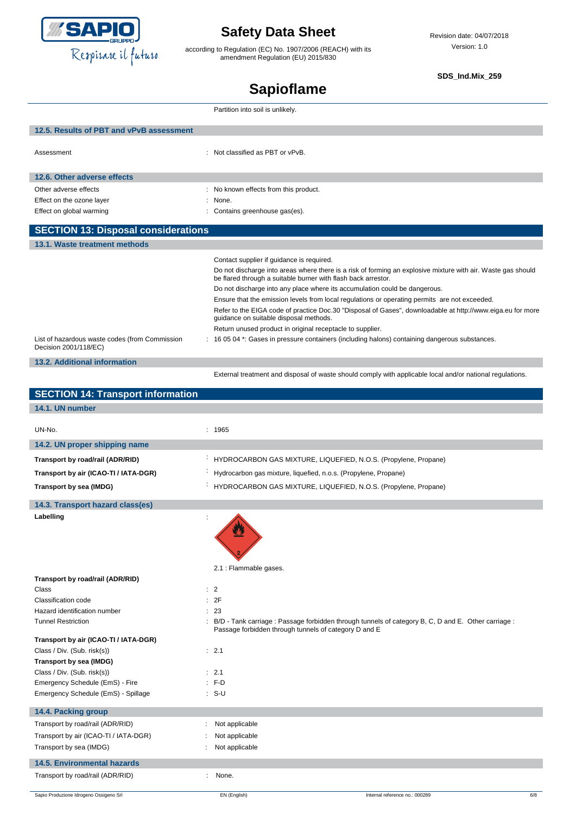

according to Regulation (EC) No. 1907/2006 (REACH) with its amendment Regulation (EU) 2015/830

**SDS\_Ind.Mix\_259**

# **Sapioflame**

|                                                                         | Partition into soil is unlikely.                                                                                                                                              |
|-------------------------------------------------------------------------|-------------------------------------------------------------------------------------------------------------------------------------------------------------------------------|
| 12.5. Results of PBT and vPvB assessment                                |                                                                                                                                                                               |
| Assessment                                                              | : Not classified as PBT or vPvB.                                                                                                                                              |
| 12.6. Other adverse effects                                             |                                                                                                                                                                               |
| Other adverse effects                                                   | : No known effects from this product.                                                                                                                                         |
| Effect on the ozone layer                                               | None.                                                                                                                                                                         |
| Effect on global warming                                                | Contains greenhouse gas(es).                                                                                                                                                  |
| <b>SECTION 13: Disposal considerations</b>                              |                                                                                                                                                                               |
| 13.1. Waste treatment methods                                           |                                                                                                                                                                               |
|                                                                         | Contact supplier if guidance is required.                                                                                                                                     |
|                                                                         | Do not discharge into areas where there is a risk of forming an explosive mixture with air. Waste gas should<br>be flared through a suitable burner with flash back arrestor. |
|                                                                         | Do not discharge into any place where its accumulation could be dangerous.                                                                                                    |
|                                                                         | Ensure that the emission levels from local regulations or operating permits are not exceeded.                                                                                 |
|                                                                         | Refer to the EIGA code of practice Doc.30 "Disposal of Gases", downloadable at http://www.eiga.eu for more<br>guidance on suitable disposal methods.                          |
|                                                                         | Return unused product in original receptacle to supplier.                                                                                                                     |
| List of hazardous waste codes (from Commission<br>Decision 2001/118/EC) | 16 05 04 *: Gases in pressure containers (including halons) containing dangerous substances.                                                                                  |
| <b>13.2. Additional information</b>                                     |                                                                                                                                                                               |
|                                                                         | External treatment and disposal of waste should comply with applicable local and/or national regulations.                                                                     |
| <b>SECTION 14: Transport information</b>                                |                                                                                                                                                                               |
| 14.1. UN number                                                         |                                                                                                                                                                               |
| UN-No.                                                                  | : 1965                                                                                                                                                                        |
| 14.2. UN proper shipping name                                           |                                                                                                                                                                               |
| Transport by road/rail (ADR/RID)                                        | HYDROCARBON GAS MIXTURE, LIQUEFIED, N.O.S. (Propylene, Propane)                                                                                                               |
| Transport by air (ICAO-TI / IATA-DGR)                                   | Hydrocarbon gas mixture, liquefied, n.o.s. (Propylene, Propane)                                                                                                               |
| Transport by sea (IMDG)                                                 | HYDROCARBON GAS MIXTURE, LIQUEFIED, N.O.S. (Propylene, Propane)                                                                                                               |
| 14.3. Transport hazard class(es)                                        |                                                                                                                                                                               |

**Labelling** :

**Transport by road/rail (ADR/RID)**



2.1 : Flammable gases.

| <b>Class</b>                          | $\therefore$ 2                                                                                                                                               |
|---------------------------------------|--------------------------------------------------------------------------------------------------------------------------------------------------------------|
| Classification code                   | : 2F                                                                                                                                                         |
| Hazard identification number          | : 23                                                                                                                                                         |
| <b>Tunnel Restriction</b>             | : B/D - Tank carriage: Passage forbidden through tunnels of category B, C, D and E. Other carriage:<br>Passage forbidden through tunnels of category D and E |
| Transport by air (ICAO-TI / IATA-DGR) |                                                                                                                                                              |
| Class / Div. (Sub. risk(s))           | : 2.1                                                                                                                                                        |
| Transport by sea (IMDG)               |                                                                                                                                                              |
| Class / Div. (Sub. risk(s))           | : 2.1                                                                                                                                                        |
| Emergency Schedule (EmS) - Fire       | $: F-D$                                                                                                                                                      |
| Emergency Schedule (EmS) - Spillage   | $: S-U$                                                                                                                                                      |
| 14.4. Packing group                   |                                                                                                                                                              |
| Transport by road/rail (ADR/RID)      | Not applicable                                                                                                                                               |
| Transport by air (ICAO-TI / IATA-DGR) | Not applicable                                                                                                                                               |
| Transport by sea (IMDG)               | Not applicable                                                                                                                                               |
| <b>14.5. Environmental hazards</b>    |                                                                                                                                                              |
| Transport by road/rail (ADR/RID)      | None.<br>÷.                                                                                                                                                  |
|                                       |                                                                                                                                                              |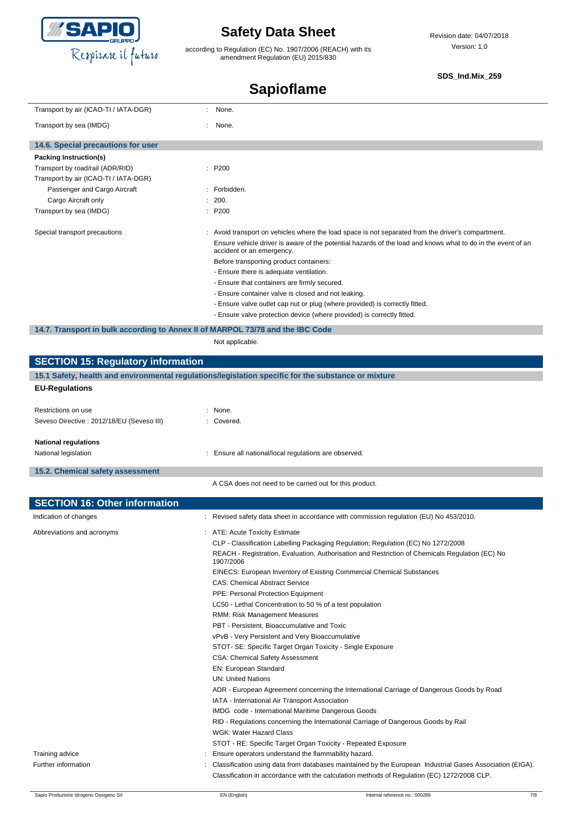

according to Regulation (EC) No. 1907/2006 (REACH) with its amendment Regulation (EU) 2015/830

#### **SDS\_Ind.Mix\_259**

# **Sapioflame**

| Transport by air (ICAO-TI / IATA-DGR)                                                                                                                        | None.<br>÷.                                                                                                                                                                                                                                                                                                                                                                                                                                                                                                                                                                                                             |
|--------------------------------------------------------------------------------------------------------------------------------------------------------------|-------------------------------------------------------------------------------------------------------------------------------------------------------------------------------------------------------------------------------------------------------------------------------------------------------------------------------------------------------------------------------------------------------------------------------------------------------------------------------------------------------------------------------------------------------------------------------------------------------------------------|
| Transport by sea (IMDG)                                                                                                                                      | None.                                                                                                                                                                                                                                                                                                                                                                                                                                                                                                                                                                                                                   |
| 14.6. Special precautions for user                                                                                                                           |                                                                                                                                                                                                                                                                                                                                                                                                                                                                                                                                                                                                                         |
| Packing Instruction(s)                                                                                                                                       |                                                                                                                                                                                                                                                                                                                                                                                                                                                                                                                                                                                                                         |
| Transport by road/rail (ADR/RID)                                                                                                                             | : P200                                                                                                                                                                                                                                                                                                                                                                                                                                                                                                                                                                                                                  |
|                                                                                                                                                              |                                                                                                                                                                                                                                                                                                                                                                                                                                                                                                                                                                                                                         |
| Transport by air (ICAO-TI / IATA-DGR)                                                                                                                        |                                                                                                                                                                                                                                                                                                                                                                                                                                                                                                                                                                                                                         |
| Passenger and Cargo Aircraft                                                                                                                                 | : Forbidden.                                                                                                                                                                                                                                                                                                                                                                                                                                                                                                                                                                                                            |
| Cargo Aircraft only                                                                                                                                          | 200.                                                                                                                                                                                                                                                                                                                                                                                                                                                                                                                                                                                                                    |
| Transport by sea (IMDG)                                                                                                                                      | : P200                                                                                                                                                                                                                                                                                                                                                                                                                                                                                                                                                                                                                  |
| Special transport precautions<br>14.7. Transport in bulk according to Annex II of MARPOL 73/78 and the IBC Code<br><b>SECTION 15: Regulatory information</b> | : Avoid transport on vehicles where the load space is not separated from the driver's compartment.<br>Ensure vehicle driver is aware of the potential hazards of the load and knows what to do in the event of an<br>accident or an emergency.<br>Before transporting product containers:<br>- Ensure there is adequate ventilation.<br>- Ensure that containers are firmly secured.<br>- Ensure container valve is closed and not leaking.<br>- Ensure valve outlet cap nut or plug (where provided) is correctly fitted.<br>- Ensure valve protection device (where provided) is correctly fitted.<br>Not applicable. |
|                                                                                                                                                              |                                                                                                                                                                                                                                                                                                                                                                                                                                                                                                                                                                                                                         |
|                                                                                                                                                              | 15.1 Safety, health and environmental regulations/legislation specific for the substance or mixture                                                                                                                                                                                                                                                                                                                                                                                                                                                                                                                     |
| <b>EU-Regulations</b>                                                                                                                                        |                                                                                                                                                                                                                                                                                                                                                                                                                                                                                                                                                                                                                         |
|                                                                                                                                                              |                                                                                                                                                                                                                                                                                                                                                                                                                                                                                                                                                                                                                         |
| Restrictions on use                                                                                                                                          | : None.                                                                                                                                                                                                                                                                                                                                                                                                                                                                                                                                                                                                                 |
| Seveso Directive : 2012/18/EU (Seveso III)                                                                                                                   | : Covered.                                                                                                                                                                                                                                                                                                                                                                                                                                                                                                                                                                                                              |
|                                                                                                                                                              |                                                                                                                                                                                                                                                                                                                                                                                                                                                                                                                                                                                                                         |
| <b>National regulations</b>                                                                                                                                  |                                                                                                                                                                                                                                                                                                                                                                                                                                                                                                                                                                                                                         |
| National legislation                                                                                                                                         | : Ensure all national/local regulations are observed.                                                                                                                                                                                                                                                                                                                                                                                                                                                                                                                                                                   |
|                                                                                                                                                              |                                                                                                                                                                                                                                                                                                                                                                                                                                                                                                                                                                                                                         |
| 15.2. Chemical safety assessment                                                                                                                             |                                                                                                                                                                                                                                                                                                                                                                                                                                                                                                                                                                                                                         |
|                                                                                                                                                              | A CSA does not need to be carried out for this product.                                                                                                                                                                                                                                                                                                                                                                                                                                                                                                                                                                 |
| <b>SECTION 16: Other information</b>                                                                                                                         |                                                                                                                                                                                                                                                                                                                                                                                                                                                                                                                                                                                                                         |
| Indication of changes                                                                                                                                        |                                                                                                                                                                                                                                                                                                                                                                                                                                                                                                                                                                                                                         |
|                                                                                                                                                              | : Revised safety data sheet in accordance with commission regulation (EU) No 453/2010.                                                                                                                                                                                                                                                                                                                                                                                                                                                                                                                                  |
| Abbreviations and acronyms                                                                                                                                   | ATE: Acute Toxicity Estimate                                                                                                                                                                                                                                                                                                                                                                                                                                                                                                                                                                                            |
|                                                                                                                                                              | CLP - Classification Labelling Packaging Regulation; Regulation (EC) No 1272/2008                                                                                                                                                                                                                                                                                                                                                                                                                                                                                                                                       |
|                                                                                                                                                              | REACH - Registration, Evaluation, Authorisation and Restriction of Chemicals Regulation (EC) No                                                                                                                                                                                                                                                                                                                                                                                                                                                                                                                         |
|                                                                                                                                                              | 1907/2006                                                                                                                                                                                                                                                                                                                                                                                                                                                                                                                                                                                                               |
|                                                                                                                                                              | EINECS: European Inventory of Existing Commercial Chemical Substances                                                                                                                                                                                                                                                                                                                                                                                                                                                                                                                                                   |
|                                                                                                                                                              | <b>CAS: Chemical Abstract Service</b>                                                                                                                                                                                                                                                                                                                                                                                                                                                                                                                                                                                   |
|                                                                                                                                                              | PPE: Personal Protection Equipment                                                                                                                                                                                                                                                                                                                                                                                                                                                                                                                                                                                      |
|                                                                                                                                                              | LC50 - Lethal Concentration to 50 % of a test population                                                                                                                                                                                                                                                                                                                                                                                                                                                                                                                                                                |
|                                                                                                                                                              | RMM: Risk Management Measures                                                                                                                                                                                                                                                                                                                                                                                                                                                                                                                                                                                           |
|                                                                                                                                                              |                                                                                                                                                                                                                                                                                                                                                                                                                                                                                                                                                                                                                         |
|                                                                                                                                                              | PBT - Persistent, Bioaccumulative and Toxic                                                                                                                                                                                                                                                                                                                                                                                                                                                                                                                                                                             |
|                                                                                                                                                              | vPvB - Very Persistent and Very Bioaccumulative                                                                                                                                                                                                                                                                                                                                                                                                                                                                                                                                                                         |
|                                                                                                                                                              | STOT- SE: Specific Target Organ Toxicity - Single Exposure                                                                                                                                                                                                                                                                                                                                                                                                                                                                                                                                                              |
|                                                                                                                                                              | <b>CSA: Chemical Safety Assessment</b>                                                                                                                                                                                                                                                                                                                                                                                                                                                                                                                                                                                  |
|                                                                                                                                                              | EN: European Standard                                                                                                                                                                                                                                                                                                                                                                                                                                                                                                                                                                                                   |
|                                                                                                                                                              | <b>UN: United Nations</b>                                                                                                                                                                                                                                                                                                                                                                                                                                                                                                                                                                                               |
|                                                                                                                                                              | ADR - European Agreement concerning the International Carriage of Dangerous Goods by Road                                                                                                                                                                                                                                                                                                                                                                                                                                                                                                                               |
|                                                                                                                                                              | IATA - International Air Transport Association                                                                                                                                                                                                                                                                                                                                                                                                                                                                                                                                                                          |
|                                                                                                                                                              | IMDG code - International Maritime Dangerous Goods                                                                                                                                                                                                                                                                                                                                                                                                                                                                                                                                                                      |
|                                                                                                                                                              | RID - Regulations concerning the International Carriage of Dangerous Goods by Rail                                                                                                                                                                                                                                                                                                                                                                                                                                                                                                                                      |
|                                                                                                                                                              | WGK: Water Hazard Class                                                                                                                                                                                                                                                                                                                                                                                                                                                                                                                                                                                                 |
|                                                                                                                                                              | STOT - RE: Specific Target Organ Toxicity - Repeated Exposure                                                                                                                                                                                                                                                                                                                                                                                                                                                                                                                                                           |
|                                                                                                                                                              |                                                                                                                                                                                                                                                                                                                                                                                                                                                                                                                                                                                                                         |
| Training advice                                                                                                                                              | Ensure operators understand the flammability hazard.                                                                                                                                                                                                                                                                                                                                                                                                                                                                                                                                                                    |
| Further information                                                                                                                                          | Classification using data from databases maintained by the European Industrial Gases Association (EIGA).                                                                                                                                                                                                                                                                                                                                                                                                                                                                                                                |
|                                                                                                                                                              | Classification in accordance with the calculation methods of Regulation (EC) 1272/2008 CLP.                                                                                                                                                                                                                                                                                                                                                                                                                                                                                                                             |